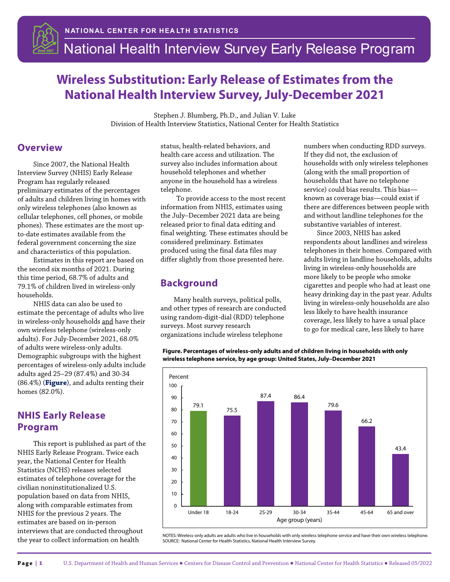

# **Wireless Substitution: Early Release of Estimates from the National Health Interview Survey, July-December 2021**

Stephen J. Blumberg, Ph.D., and Julian V. Luke Division of Health Interview Statistics, National Center for Health Statistics

#### **Overview**

Since 2007, the National Health Interview Survey (NHIS) Early Release Program has regularly released preliminary estimates of the percentages of adults and children living in homes with only wireless telephones (also known as cellular telephones, cell phones, or mobile phones). These estimates are the most upto-date estimates available from the federal government concerning the size and characteristics of this population.

Estimates in this report are based on the second six months of 2021. During this time period, 68.7% of adults and 79.1% of children lived in wireless-only households.

<span id="page-0-0"></span>NHIS data can also be used to estimate the percentage of adults who live in wireless-only households and have their own wireless telephone (wireless-only adults). For July-December 2021, 68.0% of adults were wireless-only adults. Demographic subgroups with the highest percentages of wireless-only adults include adults aged 25–29 (87.4%) and 30-34 (86.4%) (**[Figure](#page-0-0)**), and adults renting their homes (82.0%).

#### **NHIS Early Release Program**

This report is published as part of the NHIS Early Release Program. Twice each year, the National Center for Health Statistics (NCHS) releases selected estimates of telephone coverage for the civilian noninstitutionalized U.S. population based on data from NHIS, along with comparable estimates from NHIS for the previous 2 years. The estimates are based on in-person interviews that are conducted throughout the year to collect information on health

status, health-related behaviors, and health care access and utilization. The survey also includes information about household telephones and whether anyone in the household has a wireless telephone.

To provide access to the most recent information from NHIS, estimates using the July–December 2021 data are being released prior to final data editing and final weighting. These estimates should be considered preliminary. Estimates produced using the final data files may differ slightly from those presented here.

#### **Background**

Many health surveys, political polls, and other types of research are conducted using random-digit-dial (RDD) telephone surveys. Most survey research organizations include wireless telephone

numbers when conducting RDD surveys. If they did not, the exclusion of households with only wireless telephones (along with the small proportion of households that have no telephone service) could bias results. This bias known as coverage bias—could exist if there are differences between people with and without landline telephones for the substantive variables of interest.

Since 2003, NHIS has asked respondents about landlines and wireless telephones in their homes. Compared with adults living in landline households, adults living in wireless-only households are more likely to be people who smoke cigarettes and people who had at least one heavy drinking day in the past year. Adults living in wireless-only households are also less likely to have health insurance coverage, less likely to have a usual place to go for medical care, less likely to have



**Figure. Percentages of wireless-only adults and of children living in households with only wireless telephone service, by age group: United States, July–December 2021**

NOTES: Wireless-only adults are adults who live in households with only wireless telephone service and have their own wireless telephone. SOURCE: National Center for Health Statistics, National Health Interview Survey.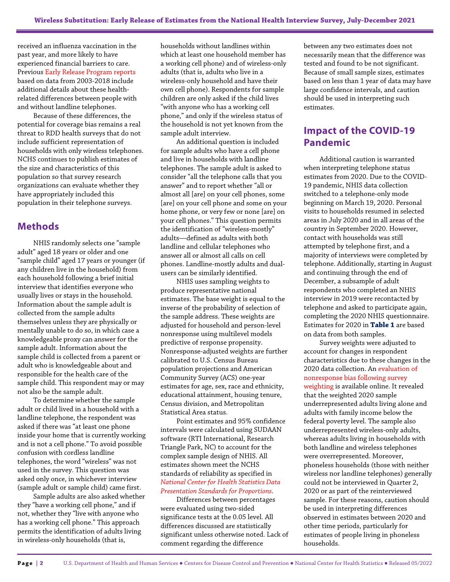received an influenza vaccination in the past year, and more likely to have experienced financial barriers to care. Previou[s Early Release Program reports](https://www.cdc.gov/nchs/nhis/erwirelesssubs.htm) based on data from 2003-2018 include additional details about these healthrelated differences between people with and without landline telephones.

Because of these differences, the potential for coverage bias remains a real threat to RDD health surveys that do not include sufficient representation of households with only wireless telephones. NCHS continues to publish estimates of the size and characteristics of this population so that survey research organizations can evaluate whether they have appropriately included this population in their telephone surveys.

#### **Methods**

NHIS randomly selects one "sample adult" aged 18 years or older and one "sample child" aged 17 years or younger (if any children live in the household) from each household following a brief initial interview that identifies everyone who usually lives or stays in the household. Information about the sample adult is collected from the sample adults themselves unless they are physically or mentally unable to do so, in which case a knowledgeable proxy can answer for the sample adult. Information about the sample child is collected from a parent or adult who is knowledgeable about and responsible for the health care of the sample child. This respondent may or may not also be the sample adult.

To determine whether the sample adult or child lived in a household with a landline telephone, the respondent was asked if there was "at least one phone inside your home that is currently working and is not a cell phone." To avoid possible confusion with cordless landline telephones, the word "wireless" was not used in the survey. This question was asked only once, in whichever interview (sample adult or sample child) came first.

Sample adults are also asked whether they "have a working cell phone," and if not, whether they "live with anyone who has a working cell phone." This approach permits the identification of adults living in wireless-only households (that is,

households without landlines within which at least one household member has a working cell phone) and of wireless-only adults (that is, adults who live in a wireless-only household and have their own cell phone). Respondents for sample children are only asked if the child lives "with anyone who has a working cell phone," and only if the wireless status of the household is not yet known from the sample adult interview.

An additional question is included for sample adults who have a cell phone and live in households with landline telephones. The sample adult is asked to consider "all the telephone calls that you answer" and to report whether "all or almost all [are] on your cell phones, some [are] on your cell phone and some on your home phone, or very few or none [are] on your cell phones." This question permits the identification of "wireless-mostly" adults—defined as adults with both landline and cellular telephones who answer all or almost all calls on cell phones. Landline-mostly adults and dualusers can be similarly identified.

NHIS uses sampling weights to produce representative national estimates. The base weight is equal to the inverse of the probability of selection of the sample address. These weights are adjusted for household and person-level nonresponse using multilevel models predictive of response propensity. Nonresponse-adjusted weights are further calibrated to U.S. Census Bureau population projections and American Community Survey (ACS) one-year estimates for age, sex, race and ethnicity, educational attainment, housing tenure, Census division, and Metropolitan Statistical Area status.

Point estimates and 95% confidence intervals were calculated using SUDAAN software (RTI International, Research Triangle Park, NC) to account for the complex sample design of NHIS. All estimates shown meet the NCHS standards of reliability as specified in *[National Center for Health Statistics Data](https://www.cdc.gov/nchs/data/series/sr_02/sr02_175.pdf)  [Presentation Standards for Proportions](https://www.cdc.gov/nchs/data/series/sr_02/sr02_175.pdf)*.

Differences between percentages were evaluated using two-sided significance tests at the 0.05 level. All differences discussed are statistically significant unless otherwise noted. Lack of comment regarding the difference

between any two estimates does not necessarily mean that the difference was tested and found to be not significant. Because of small sample sizes, estimates based on less than 1 year of data may have large confidence intervals, and caution should be used in interpreting such estimates.

## **Impact of the COVID-19 Pandemic**

Additional caution is warranted when interpreting telephone status estimates from 2020. Due to the COVID-19 pandemic, NHIS data collection switched to a telephone-only mode beginning on March 19, 2020. Personal visits to households resumed in selected areas in July 2020 and in all areas of the country in September 2020. However, contact with households was still attempted by telephone first, and a majority of interviews were completed by telephone. Additionally, starting in August and continuing through the end of December, a subsample of adult respondents who completed an NHIS interview in 2019 were recontacted by telephone and asked to participate again, completing the 2020 NHIS questionnaire. Estimates for 2020 in **[Table 1](#page-3-0)** are based on data from both samples.

Survey weights were adjusted to account for changes in respondent characteristics due to these changes in the 2020 data collection. A[n evaluation of](https://ftp.cdc.gov/pub/Health_Statistics/NCHS/Dataset_Documentation/NHIS/2020/nonresponse-report-508.pdf)  [nonresponse bias following survey](https://ftp.cdc.gov/pub/Health_Statistics/NCHS/Dataset_Documentation/NHIS/2020/nonresponse-report-508.pdf)  [weighting](https://ftp.cdc.gov/pub/Health_Statistics/NCHS/Dataset_Documentation/NHIS/2020/nonresponse-report-508.pdf) is available online. It revealed that the weighted 2020 sample underrepresented adults living alone and adults with family income below the federal poverty level. The sample also underrepresented wireless-only adults, whereas adults living in households with both landline and wireless telephones were overrepresented. Moreover, phoneless households (those with neither wireless nor landline telephones) generally could not be interviewed in Quarter 2, 2020 or as part of the reinterviewed sample. For these reasons, caution should be used in interpreting differences observed in estimates between 2020 and other time periods, particularly for estimates of people living in phoneless households.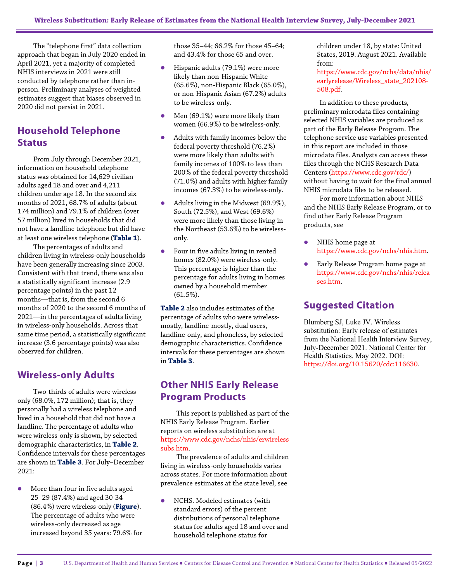The "telephone first" data collection approach that began in July 2020 ended in April 2021, yet a majority of completed NHIS interviews in 2021 were still conducted by telephone rather than inperson. Preliminary analyses of weighted estimates suggest that biases observed in 2020 did not persist in 2021.

# **Household Telephone Status**

From July through December 2021, information on household telephone status was obtained for 14,629 civilian adults aged 18 and over and 4,211 children under age 18. In the second six months of 2021, 68.7% of adults (about 174 million) and 79.1% of children (over 57 million) lived in households that did not have a landline telephone but did have at least one wireless telephone (**[Table 1](#page-3-0)**).

The percentages of adults and children living in wireless-only households have been generally increasing since 2003. Consistent with that trend, there was also a statistically significant increase (2.9 percentage points) in the past 12 months—that is, from the second 6 months of 2020 to the second 6 months of 2021—in the percentages of adults living in wireless-only households. Across that same time period, a statistically significant increase (3.6 percentage points) was also observed for children.

## **Wireless-only Adults**

Two-thirds of adults were wirelessonly (68.0%, 172 million); that is, they personally had a wireless telephone and lived in a household that did not have a landline. The percentage of adults who were wireless-only is shown, by selected demographic characteristics, in **[Table 2](#page-4-0)**. Confidence intervals for these percentages are shown in **[Table 3](#page-6-0)**. For July–December 2021:

 More than four in five adults aged 25–29 (87.4%) and aged 30-34 (86.4%) were wireless-only (**[Figure](#page-0-0)**). The percentage of adults who were wireless-only decreased as age increased beyond 35 years: 79.6% for those 35–44; 66.2% for those 45–64; and 43.4% for those 65 and over.

- **•** Hispanic adults (79.1%) were more likely than non-Hispanic White (65.6%), non-Hispanic Black (65.0%), or non-Hispanic Asian (67.2%) adults to be wireless-only.
- Men (69.1%) were more likely than women (66.9%) to be wireless-only.
- Adults with family incomes below the federal poverty threshold (76.2%) were more likely than adults with family incomes of 100% to less than 200% of the federal poverty threshold (71.0%) and adults with higher family incomes (67.3%) to be wireless-only.
- Adults living in the Midwest (69.9%), South (72.5%), and West (69.6%) were more likely than those living in the Northeast (53.6%) to be wirelessonly.
- Four in five adults living in rented homes (82.0%) were wireless-only. This percentage is higher than the percentage for adults living in homes owned by a household member (61.5%).

**[Table 2](#page-4-0)** also includes estimates of the percentage of adults who were wirelessmostly, landline-mostly, dual users, landline-only, and phoneless, by selected demographic characteristics. Confidence intervals for these percentages are shown in **[Table 3](#page-6-0)**.

## **Other NHIS Early Release Program Products**

This report is published as part of the NHIS Early Release Program. Earlier reports on wireless substitution are at [https://www.cdc.gov/nchs/nhis/erwireless](https://www.cdc.gov/nchs/nhis/erwirelesssubs.htm) [subs.htm.](https://www.cdc.gov/nchs/nhis/erwirelesssubs.htm)

The prevalence of adults and children living in wireless-only households varies across states. For more information about prevalence estimates at the state level, see

 NCHS. Modeled estimates (with standard errors) of the percent distributions of personal telephone status for adults aged 18 and over and household telephone status for

children under 18, by state: United States, 2019. August 2021. Available from:

[https://www.cdc.gov/nchs/data/nhis/](https://www.cdc.gov/nchs/data/nhis/earlyrelease/Wireless_state_202108-508.pdf) [earlyrelease/Wireless\\_state\\_202108-](https://www.cdc.gov/nchs/data/nhis/earlyrelease/Wireless_state_202108-508.pdf) [508.pdf.](https://www.cdc.gov/nchs/data/nhis/earlyrelease/Wireless_state_202108-508.pdf) 

In addition to these products, preliminary microdata files containing selected NHIS variables are produced as part of the Early Release Program. The telephone service use variables presented in this report are included in those microdata files. Analysts can access these files through the NCHS Research Data Centers [\(https://www.cdc.gov/rdc/\)](https://www.cdc.gov/rdc/) without having to wait for the final annual NHIS microdata files to be released.

For more information about NHIS and the NHIS Early Release Program, or to find other Early Release Program products, see

- NHIS home page at [https://www.cdc.gov/nchs/nhis.htm.](https://www.cdc.gov/nchs/nhis.htm)
- Early Release Program home page at [https://www.cdc.gov/nchs/nhis/relea](https://www.cdc.gov/nchs/nhis/releases.htm) [ses.htm.](https://www.cdc.gov/nchs/nhis/releases.htm)

## **Suggested Citation**

Blumberg SJ, Luke JV. Wireless substitution: Early release of estimates from the National Health Interview Survey, July-December 2021. National Center for Health Statistics. May 2022. DOI: [https://doi.org/10.15620/cdc:116630.](https://doi.org/10.15620/cdc:116630)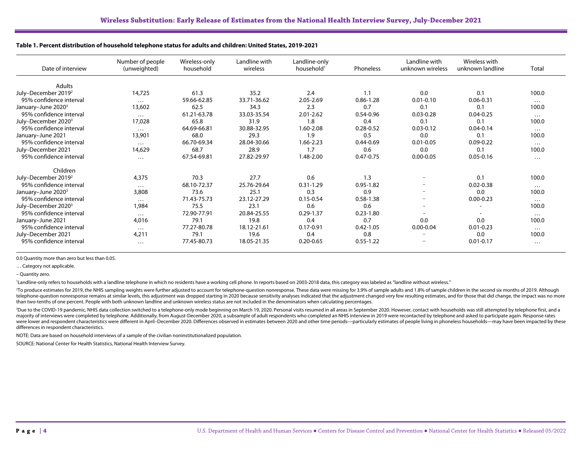| Date of interview               | Number of people<br>(unweighted) | Wireless-only<br>household | Landline with<br>wireless | Landline-only<br>household <sup>1</sup> | Phoneless     | Landline with<br>unknown wireless | Wireless with<br>unknown landline | Total    |
|---------------------------------|----------------------------------|----------------------------|---------------------------|-----------------------------------------|---------------|-----------------------------------|-----------------------------------|----------|
| Adults                          |                                  |                            |                           |                                         |               |                                   |                                   |          |
| July-December 2019 <sup>2</sup> | 14,725                           | 61.3                       | 35.2                      | 2.4                                     | 1.1           | 0.0                               | 0.1                               | 100.0    |
| 95% confidence interval         | $\cdots$                         | 59.66-62.85                | 33.71-36.62               | 2.05-2.69                               | $0.86 - 1.28$ | $0.01 - 0.10$                     | $0.06 - 0.31$                     | $\cdots$ |
| January–June 2020 <sup>3</sup>  | 13,602                           | 62.5                       | 34.3                      | 2.3                                     | 0.7           | 0.1                               | 0.1                               | 100.0    |
| 95% confidence interval         | $\cdots$                         | 61.21-63.78                | 33.03-35.54               | $2.01 - 2.62$                           | $0.54 - 0.96$ | $0.03 - 0.28$                     | $0.04 - 0.25$                     | $\cdots$ |
| July-December 2020 <sup>3</sup> | 17,028                           | 65.8                       | 31.9                      | 1.8                                     | 0.4           | 0.1                               | 0.1                               | 100.0    |
| 95% confidence interval         | $\cdots$                         | 64.69-66.81                | 30.88-32.95               | 1.60-2.08                               | $0.28 - 0.52$ | $0.03 - 0.12$                     | $0.04 - 0.14$                     | $\cdots$ |
| January-June 2021               | 13,901                           | 68.0                       | 29.3                      | 1.9                                     | 0.5           | 0.0                               | 0.1                               | 100.0    |
| 95% confidence interval         | $\cdots$                         | 66.70-69.34                | 28.04-30.66               | 1.66-2.23                               | $0.44 - 0.69$ | $0.01 - 0.05$                     | $0.09 - 0.22$                     | $\cdots$ |
| July-December 2021              | 14,629                           | 68.7                       | 28.9                      | 1.7                                     | 0.6           | 0.0                               | 0.1                               | 100.0    |
| 95% confidence interval         | $\cdots$                         | 67.54-69.81                | 27.82-29.97               | 1.48-2.00                               | $0.47 - 0.75$ | $0.00 - 0.05$                     | $0.05 - 0.16$                     | $\cdots$ |
| Children                        |                                  |                            |                           |                                         |               |                                   |                                   |          |
| July-December 2019 <sup>2</sup> | 4,375                            | 70.3                       | 27.7                      | 0.6                                     | 1.3           |                                   | 0.1                               | 100.0    |
| 95% confidence interval         | $\cdots$                         | 68.10-72.37                | 25.76-29.64               | $0.31 - 1.29$                           | $0.95 - 1.82$ |                                   | $0.02 - 0.38$                     | $\cdots$ |
| January-June 2020 <sup>3</sup>  | 3,808                            | 73.6                       | 25.1                      | 0.3                                     | 0.9           | $\overline{\phantom{a}}$          | 0.0                               | 100.0    |
| 95% confidence interval         | $\cdots$                         | 71.43-75.73                | 23.12-27.29               | $0.15 - 0.54$                           | $0.58 - 1.38$ | $\overline{\phantom{a}}$          | $0.00 - 0.23$                     | $\cdots$ |
| July-December 2020 <sup>3</sup> | 1,984                            | 75.5                       | 23.1                      | 0.6                                     | 0.6           |                                   |                                   | 100.0    |
| 95% confidence interval         | $\cdots$                         | 72.90-77.91                | 20.84-25.55               | $0.29 - 1.37$                           | $0.23 - 1.80$ |                                   |                                   | $\cdots$ |
| January-June 2021               | 4,016                            | 79.1                       | 19.8                      | 0.4                                     | 0.7           | 0.0                               | 0.0                               | 100.0    |
| 95% confidence interval         | $\cdots$                         | 77.27-80.78                | 18.12-21.61               | $0.17 - 0.91$                           | $0.42 - 1.05$ | $0.00 - 0.04$                     | $0.01 - 0.23$                     | $\cdots$ |
| July-December 2021              | 4,211                            | 79.1                       | 19.6                      | 0.4                                     | 0.8           |                                   | 0.0                               | 100.0    |
| 95% confidence interval         | $\cdots$                         | 77.45-80.73                | 18.05-21.35               | $0.20 - 0.65$                           | $0.55 - 1.22$ |                                   | $0.01 - 0.17$                     | $\cdots$ |

#### **Table 1. Percent distribution of household telephone status for adults and children: United States, 2019-2021**

<span id="page-3-0"></span>0.0 Quantity more than zero but less than 0.05.

… Category not applicable.

– Quantity zero.

<sup>1</sup>Landline-only refers to households with a landline telephone in which no residents have a working cell phone. In reports based on 2003-2018 data, this category was labeled as "landline without wireless."

<sup>2</sup>To produce estimates for 2019, the NHIS sampling weights were further adjusted to account for telephone-question nonresponse. These data were missing for 3.9% of sample adults and 1.8% of sample children in the second s telephone-question nonresponse remains at similar levels, this adjustment was dropped starting in 2020 because sensitivity analyses indicated that the adjustment changed very few resulting estimates, and for those that did than two-tenths of one percent. People with both unknown landline and unknown wireless status are not included in the denominators when calculating percentages.

<sup>3</sup>Due to the COVID-19 pandemic, NHIS data collection switched to a telephone-only mode beginning on March 19, 2020. Personal visits resumed in all areas in September 2020. However, contact with households was still attemp majority of interviews were completed by telephone. Additionally, from August-December 2020, a subsample of adult respondents who completed an NHIS interview in 2019 were recontacted by telephone and asked to participate a were lower and respondent characteristics were different in April-December 2020. Differences observed in estimates between 2020 and other time periods-particularly estimates of people living in phoneless households-may hav differences in respondent characteristics.

NOTE: Data are based on household interviews of a sample of the civilian noninstitutionalized population.

SOURCE: National Center for Health Statistics, National Health Interview Survey.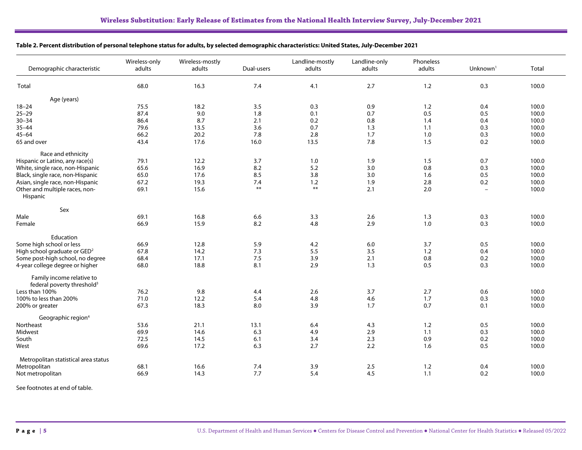|  |  | Table 2. Percent distribution of personal telephone status for adults, by selected demographic characteristics: United States, July-December 2021 |  |
|--|--|---------------------------------------------------------------------------------------------------------------------------------------------------|--|
|--|--|---------------------------------------------------------------------------------------------------------------------------------------------------|--|

<span id="page-4-0"></span>

| Demographic characteristic                                          | Wireless-only<br>Wireless-mostly<br>adults<br>adults | Dual-users | Landline-mostly<br>adults | Landline-only<br>adults | Phoneless<br>adults | Unknown <sup>1</sup>     | Total |
|---------------------------------------------------------------------|------------------------------------------------------|------------|---------------------------|-------------------------|---------------------|--------------------------|-------|
| Total                                                               | 68.0<br>16.3                                         | 7.4        | 4.1                       | 2.7                     | 1.2                 | 0.3                      | 100.0 |
| Age (years)                                                         |                                                      |            |                           |                         |                     |                          |       |
| $18 - 24$                                                           | 75.5<br>18.2                                         | 3.5        | 0.3                       | 0.9                     | 1.2                 | 0.4                      | 100.0 |
| $25 - 29$                                                           | 87.4<br>9.0                                          | 1.8        | 0.1                       | 0.7                     | 0.5                 | 0.5                      | 100.0 |
| $30 - 34$                                                           | 86.4<br>8.7                                          | 2.1        | 0.2                       | 0.8                     | 1.4                 | 0.4                      | 100.0 |
| $35 - 44$                                                           | 79.6<br>13.5                                         | 3.6        | 0.7                       | 1.3                     | 1.1                 | 0.3                      | 100.0 |
| $45 - 64$                                                           | 66.2<br>20.2                                         | 7.8        | 2.8                       | 1.7                     | 1.0                 | 0.3                      | 100.0 |
| 65 and over                                                         | 43.4<br>17.6                                         | 16.0       | 13.5                      | 7.8                     | 1.5                 | 0.2                      | 100.0 |
| Race and ethnicity                                                  |                                                      |            |                           |                         |                     |                          |       |
| Hispanic or Latino, any race(s)                                     | 79.1<br>12.2                                         | 3.7        | 1.0                       | 1.9                     | 1.5                 | 0.7                      | 100.0 |
| White, single race, non-Hispanic                                    | 65.6<br>16.9                                         | 8.2        | 5.2                       | 3.0                     | 0.8                 | 0.3                      | 100.0 |
| Black, single race, non-Hispanic                                    | 65.0<br>17.6                                         | 8.5        | 3.8                       | 3.0                     | 1.6                 | 0.5                      | 100.0 |
| Asian, single race, non-Hispanic                                    | 67.2<br>19.3                                         | 7.4        | 1.2                       | 1.9                     | 2.8                 | 0.2                      | 100.0 |
| Other and multiple races, non-<br>Hispanic                          | 69.1<br>15.6                                         | $***$      | $***$                     | 2.1                     | 2.0                 | $\overline{\phantom{a}}$ | 100.0 |
| Sex                                                                 |                                                      |            |                           |                         |                     |                          |       |
| Male                                                                | 69.1<br>16.8                                         | 6.6        | 3.3                       | 2.6                     | 1.3                 | 0.3                      | 100.0 |
| Female                                                              | 66.9<br>15.9                                         | 8.2        | 4.8                       | 2.9                     | 1.0                 | 0.3                      | 100.0 |
| Education                                                           |                                                      |            |                           |                         |                     |                          |       |
| Some high school or less                                            | 66.9<br>12.8                                         | 5.9        | 4.2                       | 6.0                     | 3.7                 | 0.5                      | 100.0 |
| High school graduate or GED <sup>2</sup>                            | 67.8<br>14.2                                         | 7.3        | 5.5                       | 3.5                     | 1.2                 | 0.4                      | 100.0 |
| Some post-high school, no degree                                    | 68.4<br>17.1                                         | 7.5        | 3.9                       | 2.1                     | 0.8                 | 0.2                      | 100.0 |
| 4-year college degree or higher                                     | 18.8<br>68.0                                         | 8.1        | 2.9                       | 1.3                     | 0.5                 | 0.3                      | 100.0 |
| Family income relative to<br>federal poverty threshold <sup>3</sup> |                                                      |            |                           |                         |                     |                          |       |
| Less than 100%                                                      | 76.2<br>9.8                                          | 4.4        | 2.6                       | 3.7                     | 2.7                 | 0.6                      | 100.0 |
| 100% to less than 200%                                              | 71.0<br>12.2                                         | 5.4        | 4.8                       | 4.6                     | 1.7                 | 0.3                      | 100.0 |
| 200% or greater                                                     | 67.3<br>18.3                                         | 8.0        | 3.9                       | 1.7                     | 0.7                 | 0.1                      | 100.0 |
| Geographic region <sup>4</sup>                                      |                                                      |            |                           |                         |                     |                          |       |
| Northeast                                                           | 53.6<br>21.1                                         | 13.1       | 6.4                       | 4.3                     | 1.2                 | 0.5                      | 100.0 |
| Midwest                                                             | 69.9<br>14.6                                         | 6.3        | 4.9                       | 2.9                     | 1.1                 | 0.3                      | 100.0 |
| South                                                               | 72.5<br>14.5                                         | 6.1        | 3.4                       | 2.3                     | 0.9                 | 0.2                      | 100.0 |
| West                                                                | 69.6<br>17.2                                         | 6.3        | 2.7                       | 2.2                     | 1.6                 | 0.5                      | 100.0 |
| Metropolitan statistical area status                                |                                                      |            |                           |                         |                     |                          |       |
| Metropolitan<br>68.1                                                | 16.6                                                 | 7.4        | 3.9                       | 2.5                     | 1.2                 | 0.4                      | 100.0 |
| 66.9<br>Not metropolitan                                            |                                                      |            |                           |                         |                     |                          |       |

See footnotes at end of table.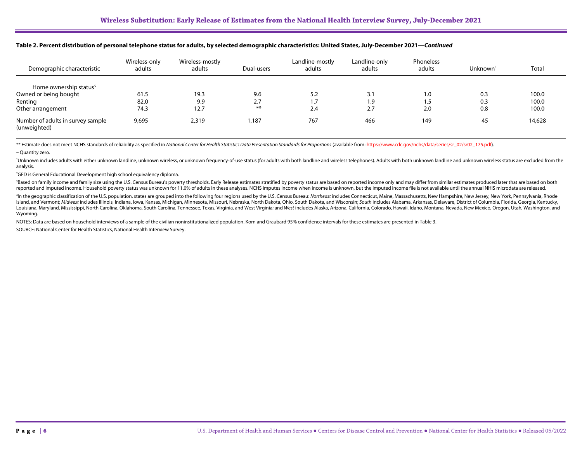| Demographic characteristic                        | Wireless-only<br>adults | Wireless-mostly<br>adults | Dual-users | Landline-mostly<br>adults | Landline-only<br>adults | Phoneless<br>adults | Unknown <sup>1</sup> | Total  |
|---------------------------------------------------|-------------------------|---------------------------|------------|---------------------------|-------------------------|---------------------|----------------------|--------|
| Home ownership status <sup>5</sup>                |                         |                           |            |                           |                         |                     |                      |        |
| Owned or being bought                             | 61.5                    | 19.3                      | 9.6        | 5.2                       | 3.1                     | 1.0                 | 0.3                  | 100.0  |
| Renting                                           | 82.0                    | 9.9                       | 2.7        | 1.7                       | 1.9                     | 1.5                 | 0.3                  | 100.0  |
| Other arrangement                                 | 74.3                    | 12.7                      | $***$      | 2.4                       | 2.7                     | 2.0                 | 0.8                  | 100.0  |
| Number of adults in survey sample<br>(unweighted) | 9,695                   | 2,319                     | 1,187      | 767                       | 466                     | 149                 | 45                   | 14,628 |

#### **Table 2. Percent distribution of personal telephone status for adults, by selected demographic characteristics: United States, July-December 2021—***Continued*

\*\* Estimate does not meet NCHS standards of reliability as specified in National Center for Health Statistics Data Presentation Standards for Proportions (available from: https://www.cdc.gov/nchs/data/series/sr\_02/sr02\_175

– Quantity zero.

'Unknown includes adults with either unknown landline, unknown wireless, or unknown frequency-of-use status (for adults with both landline and wireless telephones). Adults with both unknown landline and unknown wireless st analysis.

2 GED is General Educational Development high school equivalency diploma.

Based on family income and family size using the U.S. Census Bureau's poverty thresholds. Early Release estimates stratified by poverty status are based on reported income only and may differ from similar estimates produce reported and imputed income. Household poverty status was unknown for 11.0% of adults in these analyses. NCHS imputes income when income is unknown, but the imputed income file is not available until the annual NHIS microd

<sup>4</sup>In the geographic classification of the U.S. population, states are grouped into the following four regions used by the U.S. Census Bureau: Northeast includes Connecticut, Maine, Massachusetts, New Hampshire, New Jersey Island, and Vermont; Midwest includes Illinois, Indiana, Iowa, Kansas, Michigan, Minnesota, Missouri, Nebraska, North Dakota, Ohio, South Dakota, and Wisconsin; South includes Alabama, Arkansas, Delaware, District of Colum Louisiana, Maryland, Mississippi, North Carolina, Oklahoma, South Carolina, Tennessee, Texas, Virginia, and West Virginia; and West includes Alaska, Arizona, California, Colorado, Hawaii, Idaho, Montana, Nevada, New Mexico Wyoming.

NOTES: Data are based on household interviews of a sample of the civilian noninstitutionalized population. Korn and Graubard 95% confidence intervals for these estimates are presented in Table 3.

SOURCE: National Center for Health Statistics, National Health Interview Survey.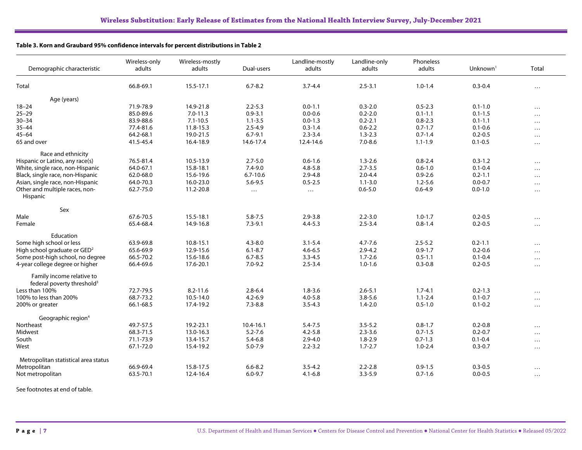#### **Table 3. Korn and Graubard 95% confidence intervals for percent distributions in Table 2**

<span id="page-6-0"></span>

| Demographic characteristic                                          | Wireless-only<br>adults | Wireless-mostly<br>adults | Dual-users   | Landline-mostly<br>adults | Landline-only<br>adults | Phoneless<br>adults | Unknown $1$ | Total    |
|---------------------------------------------------------------------|-------------------------|---------------------------|--------------|---------------------------|-------------------------|---------------------|-------------|----------|
| Total                                                               | 66.8-69.1               | 15.5-17.1                 | $6.7 - 8.2$  | $3.7 - 4.4$               | $2.5 - 3.1$             | $1.0 - 1.4$         | $0.3 - 0.4$ | $\cdots$ |
| Age (years)                                                         |                         |                           |              |                           |                         |                     |             |          |
| $18 - 24$                                                           | 71.9-78.9               | 14.9-21.8                 | $2.2 - 5.3$  | $0.0 - 1.1$               | $0.3 - 2.0$             | $0.5 - 2.3$         | $0.1 - 1.0$ | $\cdots$ |
| $25 - 29$                                                           | 85.0-89.6               | $7.0 - 11.3$              | $0.9 - 3.1$  | $0.0 - 0.6$               | $0.2 - 2.0$             | $0.1 - 1.1$         | $0.1 - 1.5$ | $\cdots$ |
| $30 - 34$                                                           | 83.9-88.6               | $7.1 - 10.5$              | $1.1 - 3.5$  | $0.0 - 1.3$               | $0.2 - 2.1$             | $0.8 - 2.3$         | $0.1 - 1.1$ | $\cdots$ |
| $35 - 44$                                                           | 77.4-81.6               | 11.8-15.3                 | $2.5 - 4.9$  | $0.3 - 1.4$               | $0.6 - 2.2$             | $0.7 - 1.7$         | $0.1 - 0.6$ |          |
| $45 - 64$                                                           | 64.2-68.1               | 19.0-21.5                 | $6.7 - 9.1$  | $2.3 - 3.4$               | $1.3 - 2.3$             | $0.7 - 1.4$         | $0.2 - 0.5$ | $\cdots$ |
| 65 and over                                                         | 41.5-45.4               | 16.4-18.9                 | 14.6-17.4    | 12.4-14.6                 | $7.0 - 8.6$             | $1.1 - 1.9$         | $0.1 - 0.5$ | .        |
| Race and ethnicity                                                  |                         |                           |              |                           |                         |                     |             |          |
| Hispanic or Latino, any race(s)                                     | 76.5-81.4               | 10.5-13.9                 | $2.7 - 5.0$  | $0.6 - 1.6$               | $1.3 - 2.6$             | $0.8 - 2.4$         | $0.3 - 1.2$ | $\cdots$ |
| White, single race, non-Hispanic                                    | 64.0-67.1               | 15.8-18.1                 | $7.4 - 9.0$  | $4.8 - 5.8$               | $2.7 - 3.5$             | $0.6 - 1.0$         | $0.1 - 0.4$ |          |
| Black, single race, non-Hispanic                                    | 62.0-68.0               | 15.6-19.6                 | $6.7 - 10.6$ | $2.9 - 4.8$               | $2.0 - 4.4$             | $0.9 - 2.6$         | $0.2 - 1.1$ | $\cdots$ |
| Asian, single race, non-Hispanic                                    | 64.0-70.3               | 16.0-23.0                 | $5.6 - 9.5$  | $0.5 - 2.5$               | $1.1 - 3.0$             | $1.2 - 5.6$         | $0.0 - 0.7$ | $\cdots$ |
| Other and multiple races, non-<br>Hispanic                          | 62.7-75.0               | 11.2-20.8                 | $\cdots$     | $\cdots$                  | $0.6 - 5.0$             | $0.6 - 4.9$         | $0.0 - 1.0$ | $\cdots$ |
| Sex                                                                 |                         |                           |              |                           |                         |                     |             |          |
| Male                                                                | 67.6-70.5               | 15.5-18.1                 | $5.8 - 7.5$  | $2.9 - 3.8$               | $2.2 - 3.0$             | $1.0 - 1.7$         | $0.2 - 0.5$ | $\cdots$ |
| Female                                                              | 65.4-68.4               | 14.9-16.8                 | $7.3 - 9.1$  | $4.4 - 5.3$               | $2.5 - 3.4$             | $0.8 - 1.4$         | $0.2 - 0.5$ | $\cdots$ |
| Education                                                           |                         |                           |              |                           |                         |                     |             |          |
| Some high school or less                                            | 63.9-69.8               | 10.8-15.1                 | $4.3 - 8.0$  | $3.1 - 5.4$               | $4.7 - 7.6$             | $2.5 - 5.2$         | $0.2 - 1.1$ | $\cdots$ |
| High school graduate or $GED2$                                      | 65.6-69.9               | 12.9-15.6                 | $6.1 - 8.7$  | $4.6 - 6.5$               | $2.9 - 4.2$             | $0.9 - 1.7$         | $0.2 - 0.6$ | $\cdots$ |
| Some post-high school, no degree                                    | 66.5-70.2               | 15.6-18.6                 | $6.7 - 8.5$  | $3.3 - 4.5$               | $1.7 - 2.6$             | $0.5 - 1.1$         | $0.1 - 0.4$ | $\cdots$ |
| 4-year college degree or higher                                     | 66.4-69.6               | 17.6-20.1                 | $7.0 - 9.2$  | $2.5 - 3.4$               | $1.0 - 1.6$             | $0.3 - 0.8$         | $0.2 - 0.5$ | $\cdots$ |
| Family income relative to<br>federal poverty threshold <sup>3</sup> |                         |                           |              |                           |                         |                     |             |          |
| Less than 100%                                                      | 72.7-79.5               | $8.2 - 11.6$              | $2.8 - 6.4$  | $1.8 - 3.6$               | $2.6 - 5.1$             | $1.7 - 4.1$         | $0.2 - 1.3$ | $\cdots$ |
| 100% to less than 200%                                              | 68.7-73.2               | 10.5-14.0                 | $4.2 - 6.9$  | $4.0 - 5.8$               | $3.8 - 5.6$             | $1.1 - 2.4$         | $0.1 - 0.7$ | $\cdots$ |
| 200% or greater                                                     | 66.1-68.5               | 17.4-19.2                 | $7.3 - 8.8$  | $3.5 - 4.3$               | $1.4 - 2.0$             | $0.5 - 1.0$         | $0.1 - 0.2$ | $\cdots$ |
| Geographic region <sup>4</sup>                                      |                         |                           |              |                           |                         |                     |             |          |
| Northeast                                                           | 49.7-57.5               | 19.2-23.1                 | 10.4-16.1    | $5.4 - 7.5$               | $3.5 - 5.2$             | $0.8 - 1.7$         | $0.2 - 0.8$ | $\cdots$ |
| Midwest                                                             | 68.3-71.5               | 13.0-16.3                 | $5.2 - 7.6$  | $4.2 - 5.8$               | $2.3 - 3.6$             | $0.7 - 1.5$         | $0.2 - 0.7$ | $\cdots$ |
| South                                                               | 71.1-73.9               | 13.4-15.7                 | $5.4 - 6.8$  | $2.9 - 4.0$               | $1.8 - 2.9$             | $0.7 - 1.3$         | $0.1 - 0.4$ | $\cdots$ |
| West                                                                | 67.1-72.0               | 15.4-19.2                 | $5.0 - 7.9$  | $2.2 - 3.2$               | $1.7 - 2.7$             | $1.0 - 2.4$         | $0.3 - 0.7$ | $\cdots$ |
| Metropolitan statistical area status                                |                         |                           |              |                           |                         |                     |             |          |
| Metropolitan                                                        | 66.9-69.4               | 15.8-17.5                 | $6.6 - 8.2$  | $3.5 - 4.2$               | $2.2 - 2.8$             | $0.9 - 1.5$         | $0.3 - 0.5$ |          |
| Not metropolitan                                                    | 63.5-70.1               | 12.4-16.4                 | $6.0 - 9.7$  | $4.1 - 6.8$               | $3.3 - 5.9$             | $0.7 - 1.6$         | $0.0 - 0.5$ | $\cdots$ |
|                                                                     |                         |                           |              |                           |                         |                     |             |          |

See footnotes at end of table.